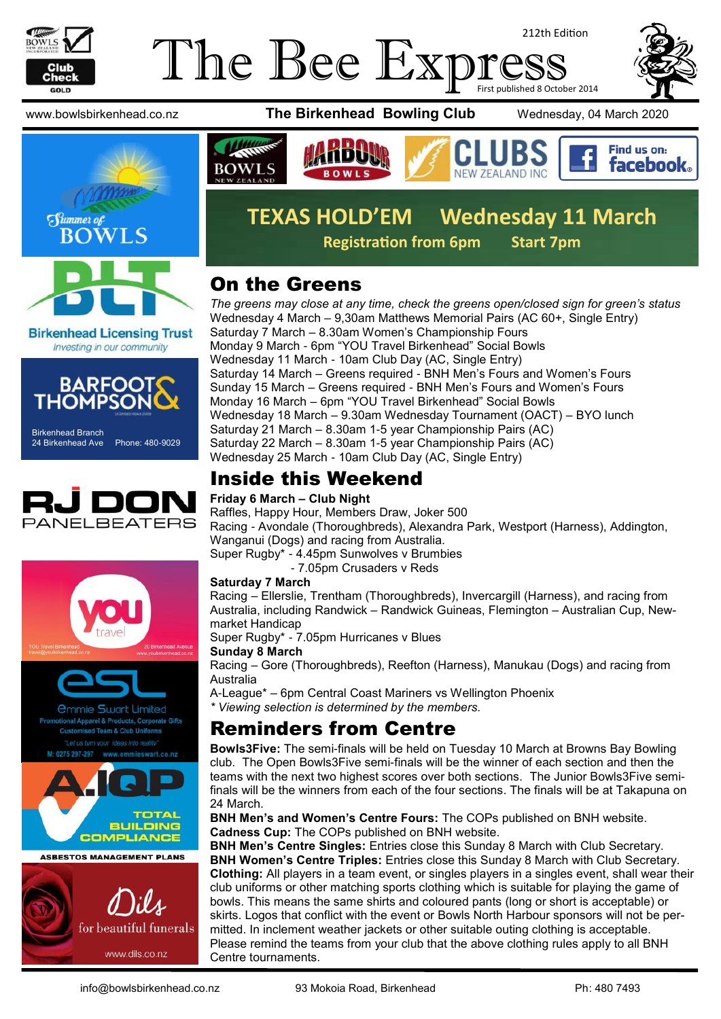

#### The Bee Exp 212th Edition First published 8 October 2014



**Birkenhead Licensing Trust** Investing in our community



Birkenhead Branch 24 Birkenhead Ave Phone: 480-9029





**ASBESTOS MANAGEMENT PLANS** 







### **TEXAS HOLD'EM Wednesday 11 March Registration from 6pm Start 7pm**

### On the Greens

*The greens may close at any time, check the greens open/closed sign for green's status* Wednesday 4 March – 9,30am Matthews Memorial Pairs (AC 60+, Single Entry) Saturday 7 March – 8.30am Women's Championship Fours Monday 9 March - 6pm "YOU Travel Birkenhead" Social Bowls Wednesday 11 March - 10am Club Day (AC, Single Entry) Saturday 14 March – Greens required - BNH Men's Fours and Women's Fours Sunday 15 March – Greens required - BNH Men's Fours and Women's Fours Monday 16 March – 6pm "YOU Travel Birkenhead" Social Bowls Wednesday 18 March – 9.30am Wednesday Tournament (OACT) – BYO lunch Saturday 21 March – 8.30am 1-5 year Championship Pairs (AC) Saturday 22 March – 8.30am 1-5 year Championship Pairs (AC) Wednesday 25 March - 10am Club Day (AC, Single Entry)

### Inside this Weekend

#### **Friday 6 March – Club Night**

Raffles, Happy Hour, Members Draw, Joker 500 Racing - Avondale (Thoroughbreds), Alexandra Park, Westport (Harness), Addington, Wanganui (Dogs) and racing from Australia. Super Rugby\* - 4.45pm Sunwolves v Brumbies

- 7.05pm Crusaders v Reds

#### **Saturday 7 March**

Racing – Ellerslie, Trentham (Thoroughbreds), Invercargill (Harness), and racing from Australia, including Randwick – Randwick Guineas, Flemington – Australian Cup, Newmarket Handicap

Super Rugby\* - 7.05pm Hurricanes v Blues

**Sunday 8 March**

Racing – Gore (Thoroughbreds), Reefton (Harness), Manukau (Dogs) and racing from Australia

A-League\* – 6pm Central Coast Mariners vs Wellington Phoenix

*\* Viewing selection is determined by the members.*

### Reminders from Centre

**Bowls3Five:** The semi-finals will be held on Tuesday 10 March at Browns Bay Bowling club. The Open Bowls3Five semi-finals will be the winner of each section and then the teams with the next two highest scores over both sections. The Junior Bowls3Five semifinals will be the winners from each of the four sections. The finals will be at Takapuna on 24 March.

**BNH Men's and Women's Centre Fours:** The COPs published on BNH website. **Cadness Cup:** The COPs published on BNH website.

**BNH Men's Centre Singles:** Entries close this Sunday 8 March with Club Secretary. **BNH Women's Centre Triples:** Entries close this Sunday 8 March with Club Secretary. **Clothing:** All players in a team event, or singles players in a singles event, shall wear their club uniforms or other matching sports clothing which is suitable for playing the game of bowls. This means the same shirts and coloured pants (long or short is acceptable) or skirts. Logos that conflict with the event or Bowls North Harbour sponsors will not be permitted. In inclement weather jackets or other suitable outing clothing is acceptable. Please remind the teams from your club that the above clothing rules apply to all BNH Centre tournaments.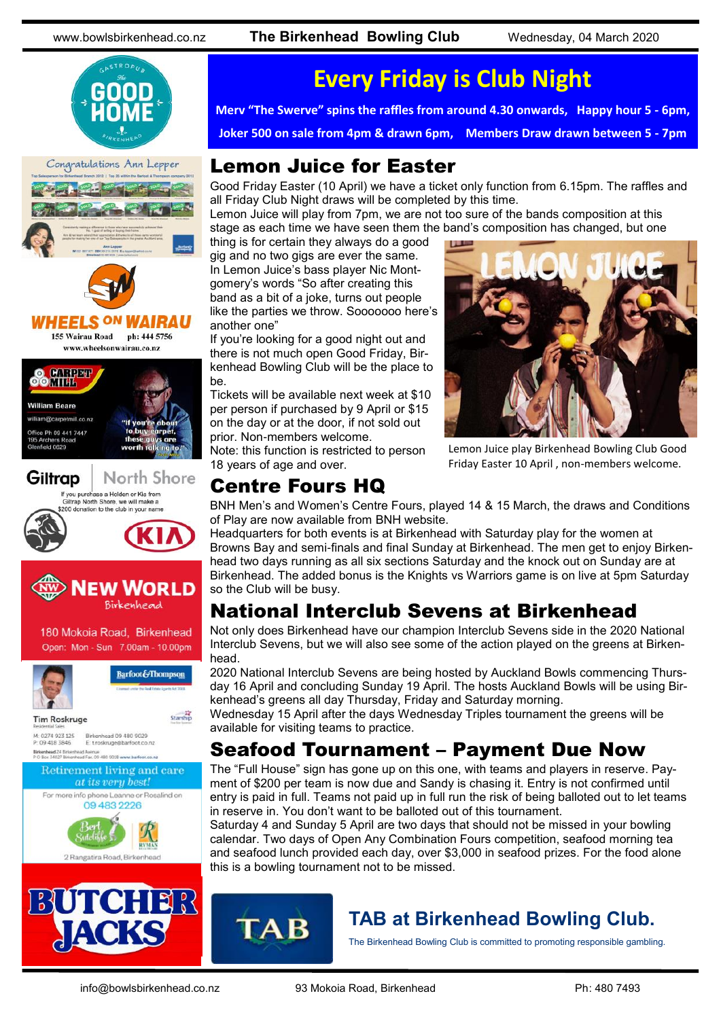





155 Wairau Road ph: 444 5756







North Shore If you purchase a Holden or Kia from







2 Rangatira Road, Birkenhea



# **Every Friday is Club Night**

**Merv "The Swerve" spins the raffles from around 4.30 onwards, Happy hour 5 - 6pm,**

**Joker 500 on sale from 4pm & drawn 6pm, Members Draw drawn between 5 - 7pm**

### Lemon Juice for Easter

Good Friday Easter (10 April) we have a ticket only function from 6.15pm. The raffles and all Friday Club Night draws will be completed by this time.

Lemon Juice will play from 7pm, we are not too sure of the bands composition at this stage as each time we have seen them the band's composition has changed, but one

thing is for certain they always do a good gig and no two gigs are ever the same. In Lemon Juice's bass player Nic Montgomery's words "So after creating this band as a bit of a joke, turns out people like the parties we throw. Sooooooo here's another one"

If you're looking for a good night out and there is not much open Good Friday, Birkenhead Bowling Club will be the place to be.

Tickets will be available next week at \$10 per person if purchased by 9 April or \$15 on the day or at the door, if not sold out prior. Non-members welcome.

Note: this function is restricted to person 18 years of age and over.

### Centre Fours HQ



Lemon Juice play Birkenhead Bowling Club Good Friday Easter 10 April , non-members welcome.

BNH Men's and Women's Centre Fours, played 14 & 15 March, the draws and Conditions of Play are now available from BNH website.

Headquarters for both events is at Birkenhead with Saturday play for the women at Browns Bay and semi-finals and final Sunday at Birkenhead. The men get to enjoy Birkenhead two days running as all six sections Saturday and the knock out on Sunday are at Birkenhead. The added bonus is the Knights vs Warriors game is on live at 5pm Saturday so the Club will be busy.

## National Interclub Sevens at Birkenhead

Not only does Birkenhead have our champion Interclub Sevens side in the 2020 National Interclub Sevens, but we will also see some of the action played on the greens at Birkenhead.

2020 National Interclub Sevens are being hosted by Auckland Bowls commencing Thursday 16 April and concluding Sunday 19 April. The hosts Auckland Bowls will be using Birkenhead's greens all day Thursday, Friday and Saturday morning.

Wednesday 15 April after the days Wednesday Triples tournament the greens will be available for visiting teams to practice.

### Seafood Tournament – Payment Due Now

The "Full House" sign has gone up on this one, with teams and players in reserve. Payment of \$200 per team is now due and Sandy is chasing it. Entry is not confirmed until entry is paid in full. Teams not paid up in full run the risk of being balloted out to let teams in reserve in. You don't want to be balloted out of this tournament.

Saturday 4 and Sunday 5 April are two days that should not be missed in your bowling calendar. Two days of Open Any Combination Fours competition, seafood morning tea and seafood lunch provided each day, over \$3,000 in seafood prizes. For the food alone this is a bowling tournament not to be missed.



### **TAB at Birkenhead Bowling Club.**

The Birkenhead Bowling Club is committed to promoting responsible gambling.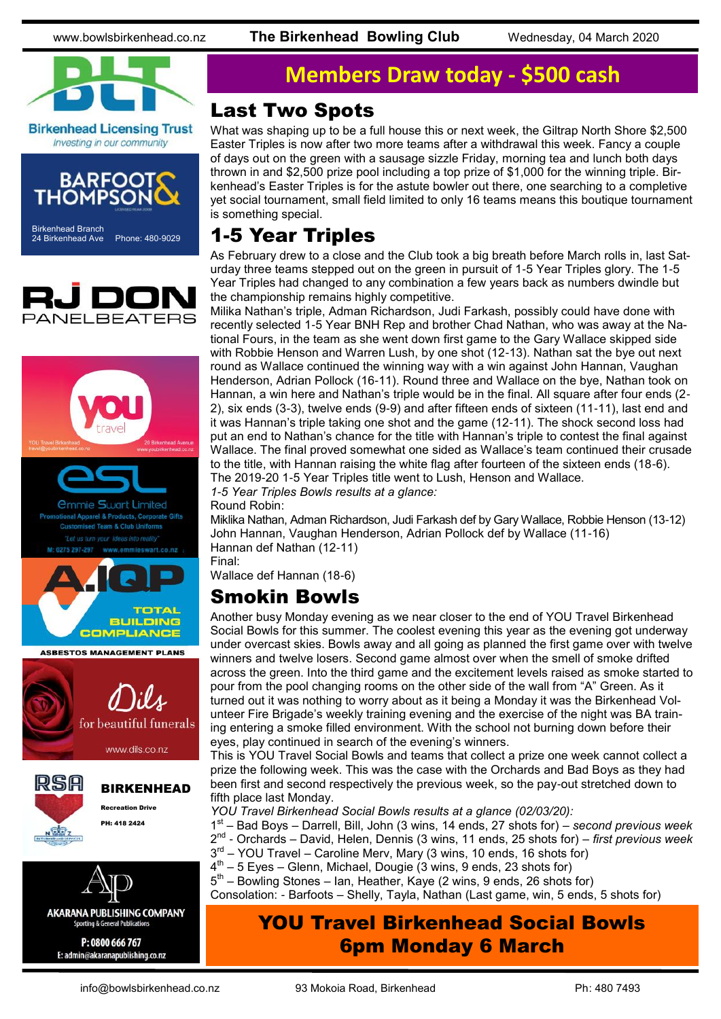www.bowlsbirkenhead.co.nz **The Birkenhead Bowling Club** Wednesday, 04 March 2020



**Birkenhead Licensing Trust** Investing in our community







P: 0800 666 767 E: admin@akaranapublishing.co.nz

## **Members Draw today - \$500 cash**

#### Last Two Spots

What was shaping up to be a full house this or next week, the Giltrap North Shore \$2,500 Easter Triples is now after two more teams after a withdrawal this week. Fancy a couple of days out on the green with a sausage sizzle Friday, morning tea and lunch both days thrown in and \$2,500 prize pool including a top prize of \$1,000 for the winning triple. Birkenhead's Easter Triples is for the astute bowler out there, one searching to a completive yet social tournament, small field limited to only 16 teams means this boutique tournament is something special.

### 1-5 Year Triples

As February drew to a close and the Club took a big breath before March rolls in, last Saturday three teams stepped out on the green in pursuit of 1-5 Year Triples glory. The 1-5 Year Triples had changed to any combination a few years back as numbers dwindle but the championship remains highly competitive.

Milika Nathan's triple, Adman Richardson, Judi Farkash, possibly could have done with recently selected 1-5 Year BNH Rep and brother Chad Nathan, who was away at the National Fours, in the team as she went down first game to the Gary Wallace skipped side with Robbie Henson and Warren Lush, by one shot (12-13). Nathan sat the bye out next round as Wallace continued the winning way with a win against John Hannan, Vaughan Henderson, Adrian Pollock (16-11). Round three and Wallace on the bye, Nathan took on Hannan, a win here and Nathan's triple would be in the final. All square after four ends (2- 2), six ends (3-3), twelve ends (9-9) and after fifteen ends of sixteen (11-11), last end and it was Hannan's triple taking one shot and the game (12-11). The shock second loss had put an end to Nathan's chance for the title with Hannan's triple to contest the final against Wallace. The final proved somewhat one sided as Wallace's team continued their crusade to the title, with Hannan raising the white flag after fourteen of the sixteen ends (18-6). The 2019-20 1-5 Year Triples title went to Lush, Henson and Wallace.

*1-5 Year Triples Bowls results at a glance:*

Round Robin:

Miklika Nathan, Adman Richardson, Judi Farkash def by Gary Wallace, Robbie Henson (13-12) John Hannan, Vaughan Henderson, Adrian Pollock def by Wallace (11-16) Hannan def Nathan (12-11) Final:

Wallace def Hannan (18-6)

### Smokin Bowls

Another busy Monday evening as we near closer to the end of YOU Travel Birkenhead Social Bowls for this summer. The coolest evening this year as the evening got underway under overcast skies. Bowls away and all going as planned the first game over with twelve winners and twelve losers. Second game almost over when the smell of smoke drifted across the green. Into the third game and the excitement levels raised as smoke started to pour from the pool changing rooms on the other side of the wall from "A" Green. As it turned out it was nothing to worry about as it being a Monday it was the Birkenhead Volunteer Fire Brigade's weekly training evening and the exercise of the night was BA training entering a smoke filled environment. With the school not burning down before their eyes, play continued in search of the evening's winners.

This is YOU Travel Social Bowls and teams that collect a prize one week cannot collect a prize the following week. This was the case with the Orchards and Bad Boys as they had been first and second respectively the previous week, so the pay-out stretched down to fifth place last Monday.

*YOU Travel Birkenhead Social Bowls results at a glance (02/03/20):*

- 1 st Bad Boys Darrell, Bill, John (3 wins, 14 ends, 27 shots for) *second previous week* 2 nd - Orchards – David, Helen, Dennis (3 wins, 11 ends, 25 shots for) – *first previous week*
- 3<sup>rd</sup> YOU Travel Caroline Merv, Mary (3 wins, 10 ends, 16 shots for)
- 4<sup>th</sup> 5 Eyes Glenn, Michael, Dougie (3 wins, 9 ends, 23 shots for)
- 5<sup>th</sup> Bowling Stones Ian, Heather, Kaye (2 wins, 9 ends, 26 shots for)

Consolation: - Barfoots – Shelly, Tayla, Nathan (Last game, win, 5 ends, 5 shots for)

### YOU Travel Birkenhead Social Bowls 6pm Monday 6 March